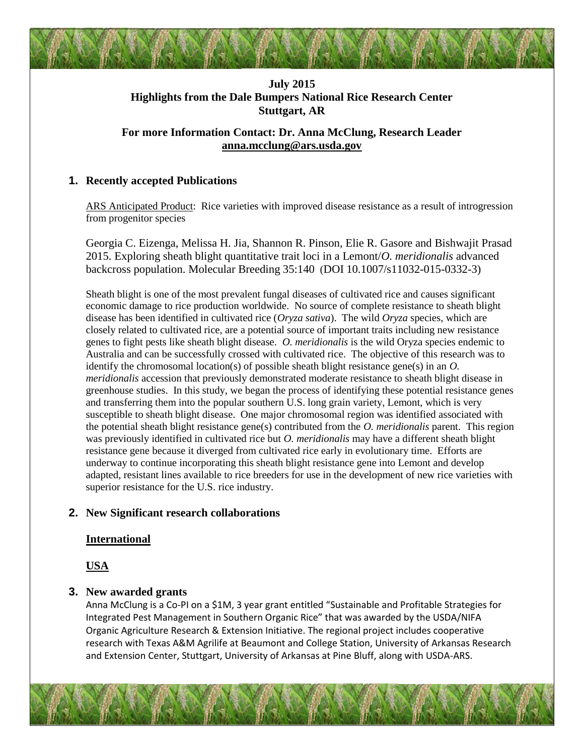# **July 2015 Highlights from the Dale Bumpers National Rice Research Center Stuttgart, AR**

## **For more Information Contact: Dr. Anna McClung, Research Leader [anna.mcclung@ars.usda.gov](mailto:anna.mcclung@ars.usda.gov)**

### **1. Recently accepted Publications**

ARS Anticipated Product: Rice varieties with improved disease resistance as a result of introgression from progenitor species

Georgia C. Eizenga, Melissa H. Jia, Shannon R. Pinson, Elie R. Gasore and Bishwajit Prasad 2015. Exploring sheath blight quantitative trait loci in a Lemont/*O. meridionalis* advanced backcross population. Molecular Breeding 35:140 (DOI 10.1007/s11032-015-0332-3)

Sheath blight is one of the most prevalent fungal diseases of cultivated rice and causes significant economic damage to rice production worldwide. No source of complete resistance to sheath blight disease has been identified in cultivated rice (*Oryza sativa*). The wild *Oryza* species, which are closely related to cultivated rice, are a potential source of important traits including new resistance genes to fight pests like sheath blight disease. *O. meridionalis* is the wild Oryza species endemic to Australia and can be successfully crossed with cultivated rice. The objective of this research was to identify the chromosomal location(s) of possible sheath blight resistance gene(s) in an *O. meridionalis* accession that previously demonstrated moderate resistance to sheath blight disease in greenhouse studies. In this study, we began the process of identifying these potential resistance genes and transferring them into the popular southern U.S. long grain variety, Lemont, which is very susceptible to sheath blight disease. One major chromosomal region was identified associated with the potential sheath blight resistance gene(s) contributed from the *O. meridionalis* parent. This region was previously identified in cultivated rice but *O. meridionalis* may have a different sheath blight resistance gene because it diverged from cultivated rice early in evolutionary time. Efforts are underway to continue incorporating this sheath blight resistance gene into Lemont and develop adapted, resistant lines available to rice breeders for use in the development of new rice varieties with superior resistance for the U.S. rice industry.

### **2. New Significant research collaborations**

### **International**

**USA**

## **3. New awarded grants**

Anna McClung is a Co-PI on a \$1M, 3 year grant entitled "Sustainable and Profitable Strategies for Integrated Pest Management in Southern Organic Rice" that was awarded by the USDA/NIFA Organic Agriculture Research & Extension Initiative. The regional project includes cooperative research with Texas A&M Agrilife at Beaumont and College Station, University of Arkansas Research and Extension Center, Stuttgart, University of Arkansas at Pine Bluff, along with USDA-ARS.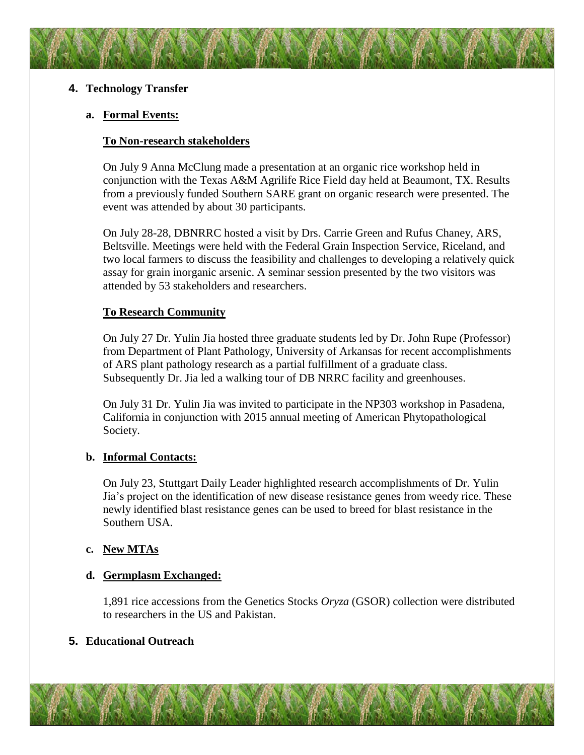## **4. Technology Transfer**

## **a. Formal Events:**

## **To Non-research stakeholders**

On July 9 Anna McClung made a presentation at an organic rice workshop held in conjunction with the Texas A&M Agrilife Rice Field day held at Beaumont, TX. Results from a previously funded Southern SARE grant on organic research were presented. The event was attended by about 30 participants.

On July 28-28, DBNRRC hosted a visit by Drs. Carrie Green and Rufus Chaney, ARS, Beltsville. Meetings were held with the Federal Grain Inspection Service, Riceland, and two local farmers to discuss the feasibility and challenges to developing a relatively quick assay for grain inorganic arsenic. A seminar session presented by the two visitors was attended by 53 stakeholders and researchers.

## **To Research Community**

On July 27 Dr. Yulin Jia hosted three graduate students led by Dr. John Rupe (Professor) from Department of Plant Pathology, University of Arkansas for recent accomplishments of ARS plant pathology research as a partial fulfillment of a graduate class. Subsequently Dr. Jia led a walking tour of DB NRRC facility and greenhouses.

On July 31 Dr. Yulin Jia was invited to participate in the NP303 workshop in Pasadena, California in conjunction with 2015 annual meeting of American Phytopathological Society.

### **b. Informal Contacts:**

On July 23, Stuttgart Daily Leader highlighted research accomplishments of Dr. Yulin Jia's project on the identification of new disease resistance genes from weedy rice. These newly identified blast resistance genes can be used to breed for blast resistance in the Southern USA.

## **c. New MTAs**

### **d. Germplasm Exchanged:**

1,891 rice accessions from the Genetics Stocks *Oryza* (GSOR) collection were distributed to researchers in the US and Pakistan.

### **5. Educational Outreach**